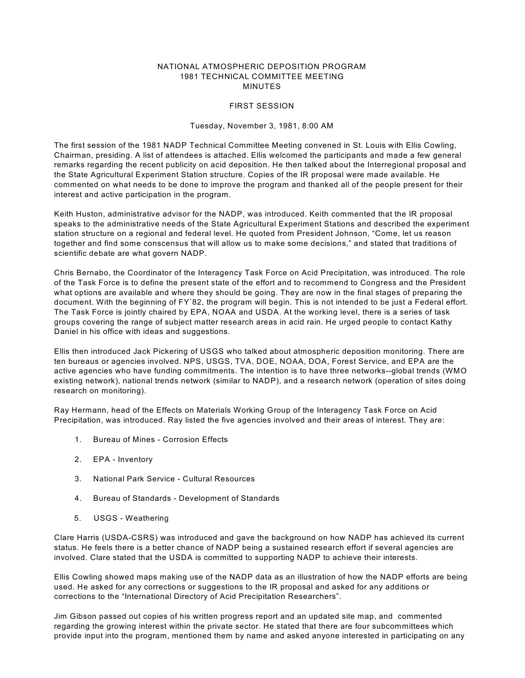# NATIONAL ATMOSPHERIC DEPOSITION PROGRAM 1981 TECHNICAL COMMITTEE MEETING MINUTES

# FIRST SESSION

#### Tuesday, November 3, 1981, 8:00 AM

The first session of the 1981 NADP Technical Committee Meeting convened in St. Louis with Ellis Cowling, Chairman, presiding. A list of attendees is attached. Ellis welcomed the participants and made a few general remarks regarding the recent publicity on acid deposition. He then talked about the Interregional proposal and the State Agricultural Experiment Station structure. Copies of the IR proposal were made available. He commented on what needs to be done to improve the program and thanked all of the people present for their interest and active participation in the program.

Keith Huston, administrative advisor for the NADP, was introduced. Keith commented that the IR proposal speaks to the administrative needs of the State Agricultural Experiment Stations and described the experiment station structure on a regional and federal level. He quoted from President Johnson, "Come, let us reason together and find some conscensus that will allow us to make some decisions," and stated that traditions of scientific debate are what govern NADP.

Chris Bernabo, the Coordinator of the Interagency Task Force on Acid Precipitation, was introduced. The role of the Task Force is to define the present state of the effort and to recommend to Congress and the President what options are available and where they should be going. They are now in the final stages of preparing the document. With the beginning of FY'82, the program will begin. This is not intended to be just a Federal effort. The Task Force is jointly chaired by EPA, NOAA and USDA. At the working level, there is a series of task groups covering the range of subject matter research areas in acid rain. He urged people to contact Kathy Daniel in his office with ideas and suggestions.

Ellis then introduced Jack Pickering of USGS who talked about atmospheric deposition monitoring. There are ten bureaus or agencies involved. NPS, USGS, TVA, DOE, NOAA, DOA, Forest Service, and EPA are the active agencies who have funding commitments. The intention is to have three networks--global trends (WMO existing network), national trends network (similar to NADP), and a research network (operation of sites doing research on monitoring).

Ray Hermann, head of the Effects on Materials Working Group of the Interagency Task Force on Acid Precipitation, was introduced. Ray listed the five agencies involved and their areas of interest. They are:

- 1. Bureau of Mines Corrosion Effects
- 2. EPA Inventory
- 3. National Park Service Cultural Resources
- 4. Bureau of Standards Development of Standards
- 5. USGS Weathering

Clare Harris (USDA-CSRS) was introduced and gave the background on how NADP has achieved its current status. He feels there is a better chance of NADP being a sustained research effort if several agencies are involved. Clare stated that the USDA is committed to supporting NADP to achieve their interests.

Ellis Cowling showed maps making use of the NADP data as an illustration of how the NADP efforts are being used. He asked for any corrections or suggestions to the IR proposal and asked for any additions or corrections to the "International Directory of Acid Precipitation Researchers".

Jim Gibson passed out copies of his written progress report and an updated site map, and commented regarding the growing interest within the private sector. He stated that there are four subcommittees which provide input into the program, mentioned them by name and asked anyone interested in participating on any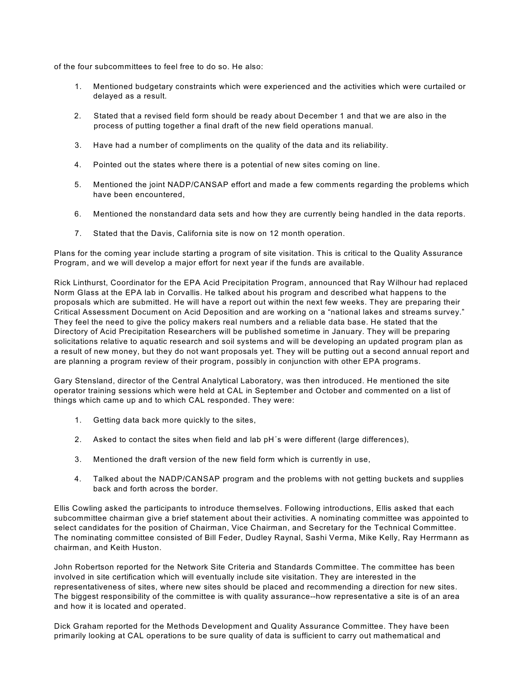of the four subcommittees to feel free to do so. He also:

- 1. Mentioned budgetary constraints which were experienced and the activities which were curtailed or delayed as a result.
- 2. Stated that a revised field form should be ready about December 1 and that we are also in the process of putting together a final draft of the new field operations manual.
- 3. Have had a number of compliments on the quality of the data and its reliability.
- 4. Pointed out the states where there is a potential of new sites coming on line.
- 5. Mentioned the joint NADP/CANSAP effort and made a few comments regarding the problems which have been encountered,
- 6. Mentioned the nonstandard data sets and how they are currently being handled in the data reports.
- 7. Stated that the Davis, California site is now on 12 month operation.

Plans for the coming year include starting a program of site visitation. This is critical to the Quality Assurance Program, and we will develop a major effort for next year if the funds are available.

Rick Linthurst, Coordinator for the EPA Acid Precipitation Program, announced that Ray Wilhour had replaced Norm Glass at the EPA lab in Corvallis. He talked about his program and described what happens to the proposals which are submitted. He will have a report out within the next few weeks. They are preparing their Critical Assessment Document on Acid Deposition and are working on a "national lakes and streams survey." They feel the need to give the policy makers real numbers and a reliable data base. He stated that the Directory of Acid Precipitation Researchers will be published sometime in January. They will be preparing solicitations relative to aquatic research and soil systems and will be developing an updated program plan as a result of new money, but they do not want proposals yet. They will be putting out a second annual report and are planning a program review of their program, possibly in conjunction with other EPA programs.

Gary Stensland, director of the Central Analytical Laboratory, was then introduced. He mentioned the site operator training sessions which were held at CAL in September and October and commented on a list of things which came up and to which CAL responded. They were:

- 1. Getting data back more quickly to the sites,
- 2. Asked to contact the sites when field and lab pH's were different (large differences),
- 3. Mentioned the draft version of the new field form which is currently in use,
- 4. Talked about the NADP/CANSAP program and the problems with not getting buckets and supplies back and forth across the border.

Ellis Cowling asked the participants to introduce themselves. Following introductions, Ellis asked that each subcommittee chairman give a brief statement about their activities. A nominating committee was appointed to select candidates for the position of Chairman, Vice Chairman, and Secretary for the Technical Committee. The nominating committee consisted of Bill Feder, Dudley Raynal, Sashi Verma, Mike Kelly, Ray Herrmann as chairman, and Keith Huston.

John Robertson reported for the Network Site Criteria and Standards Committee. The committee has been involved in site certification which will eventually include site visitation. They are interested in the representativeness of sites, where new sites should be placed and recommending a direction for new sites. The biggest responsibility of the committee is with quality assurance--how representative a site is of an area and how it is located and operated.

Dick Graham reported for the Methods Development and Quality Assurance Committee. They have been primarily looking at CAL operations to be sure quality of data is sufficient to carry out mathematical and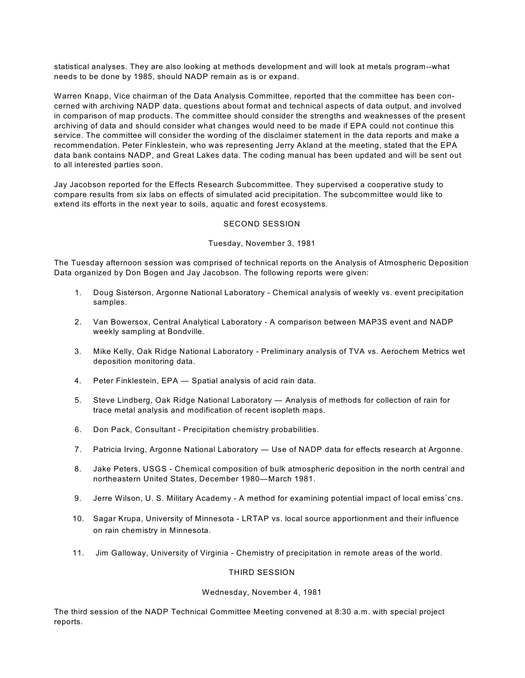statistical analyses. They are also looking at methods development and will look at metals program--what needs to be done by 1985, should NADP remain as is or expand.

Warren Knapp, Vice chairman of the Data Analysis Committee, reported that the committee has been concerned with archiving NADP data, questions about format and technical aspects of data output, and involved in comparison of map products. The committee should consider the strengths and weaknesses of the present archiving of data and should consider what changes would need to be made if EPA could not continue this service. The committee will consider the wording of the disclaimer statement in the data reports and make a recommendation. Peter Finklestein, who was representing Jerry Akland at the meeting, stated that the EPA data bank contains NADP, and Great Lakes data. The coding manual has been updated and will be sent out to all interested parties soon.

Jay Jacobson reported for the Effects Research Subcommittee. They supervised a cooperative study to compare results from six labs on effects of simulated acid precipitation. The subcommittee would like to extend its efforts in the next year to soils, aquatic and forest ecosystems.

# SECOND SESSION

# Tuesday, November 3, 1981

The Tuesday afternoon session was comprised of technical reports on the Analysis of Atmospheric Deposition Data organized by Don Bogen and Jay Jacobson. The following reports were given:

- 1. Doug Sisterson, Argonne National Laboratory Chemical analysis of weekly vs. event precipitation samples.
- 2. Van Bowersox, Central Analytical Laboratory A comparison between MAP3S event and NADP weekly sampling at Bondville.
- 3. Mike Kelly, Oak Ridge National Laboratory Preliminary analysis of TVA vs. Aerochem Metrics wet deposition monitoring data.
- 4. Peter Finklestein, EPA Spatial analysis of acid rain data.
- 5. Steve Lindberg, Oak Ridge National Laboratory Analysis of methods for collection of rain for trace metal analysis and modification of recent isopleth maps.
- 6. Don Pack, Consultant Precipitation chemistry probabilities.
- 7. Patricia Irving, Argonne National Laboratory Use of NADP data for effects research at Argonne.
- 8. Jake Peters, USGS Chemical composition of bulk atmospheric deposition in the north central and northeastern United States, December 1980—March 1981.
- 9. Jerre Wilson, U. S. Military Academy A method for examining potential impact of local emiss'cns.
- 10. Sagar Krupa, University of Minnesota LRTAP vs. local source apportionment and their influence on rain chemistry in Minnesota.
- 11. Jim Galloway, University of Virginia Chemistry of precipitation in remote areas of the world.

# THIRD SESSION

# Wednesday, November 4, 1981

The third session of the NADP Technical Committee Meeting convened at 8:30 a.m. with special project reports.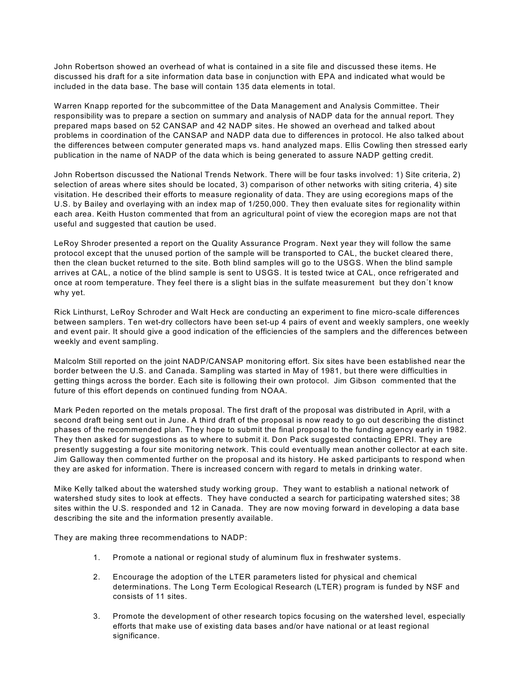John Robertson showed an overhead of what is contained in a site file and discussed these items. He discussed his draft for a site information data base in conjunction with EPA and indicated what would be included in the data base. The base will contain 135 data elements in total.

Warren Knapp reported for the subcommittee of the Data Management and Analysis Committee. Their responsibility was to prepare a section on summary and analysis of NADP data for the annual report. They prepared maps based on 52 CANSAP and 42 NADP sites. He showed an overhead and talked about problems in coordination of the CANSAP and NADP data due to differences in protocol. He also talked about the differences between computer generated maps vs. hand analyzed maps. Ellis Cowling then stressed early publication in the name of NADP of the data which is being generated to assure NADP getting credit.

John Robertson discussed the National Trends Network. There will be four tasks involved: 1) Site criteria, 2) selection of areas where sites should be located, 3) comparison of other networks with siting criteria, 4) site visitation. He described their efforts to measure regionality of data. They are using ecoregions maps of the U.S. by Bailey and overlaying with an index map of 1/250,000. They then evaluate sites for regionality within each area. Keith Huston commented that from an agricultural point of view the ecoregion maps are not that useful and suggested that caution be used.

LeRoy Shroder presented a report on the Quality Assurance Program. Next year they will follow the same protocol except that the unused portion of the sample will be transported to CAL, the bucket cleared there, then the clean bucket returned to the site. Both blind samples will go to the USGS. When the blind sample arrives at CAL, a notice of the blind sample is sent to USGS. It is tested twice at CAL, once refrigerated and once at room temperature. They feel there is a slight bias in the sulfate measurement but they don't know why yet.

Rick Linthurst, LeRoy Schroder and Walt Heck are conducting an experiment to fine micro-scale differences between samplers. Ten wet-dry collectors have been set-up 4 pairs of event and weekly samplers, one weekly and event pair. It should give a good indication of the efficiencies of the samplers and the differences between weekly and event sampling.

Malcolm Still reported on the joint NADP/CANSAP monitoring effort. Six sites have been established near the border between the U.S. and Canada. Sampling was started in May of 1981, but there were difficulties in getting things across the border. Each site is following their own protocol. Jim Gibson commented that the future of this effort depends on continued funding from NOAA.

Mark Peden reported on the metals proposal. The first draft of the proposal was distributed in April, with a second draft being sent out in June. A third draft of the proposal is now ready to go out describing the distinct phases of the recommended plan. They hope to submit the final proposal to the funding agency early in 1982. They then asked for suggestions as to where to submit it. Don Pack suggested contacting EPRI. They are presently suggesting a four site monitoring network. This could eventually mean another collector at each site. Jim Galloway then commented further on the proposal and its history. He asked participants to respond when they are asked for information. There is increased concern with regard to metals in drinking water.

Mike Kelly talked about the watershed study working group. They want to establish a national network of watershed study sites to look at effects. They have conducted a search for participating watershed sites; 38 sites within the U.S. responded and 12 in Canada. They are now moving forward in developing a data base describing the site and the information presently available.

They are making three recommendations to NADP:

- 1. Promote a national or regional study of aluminum flux in freshwater systems.
- 2. Encourage the adoption of the LTER parameters listed for physical and chemical determinations. The Long Term Ecological Research (LTER) program is funded by NSF and consists of 11 sites.
- 3. Promote the development of other research topics focusing on the watershed level, especially efforts that make use of existing data bases and/or have national or at least regional significance.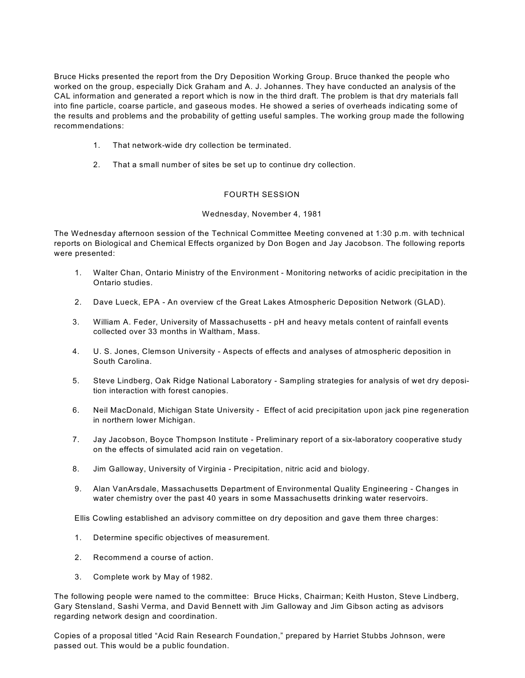Bruce Hicks presented the report from the Dry Deposition Working Group. Bruce thanked the people who worked on the group, especially Dick Graham and A. J. Johannes. They have conducted an analysis of the CAL information and generated a report which is now in the third draft. The problem is that dry materials fall into fine particle, coarse particle, and gaseous modes. He showed a series of overheads indicating some of the results and problems and the probability of getting useful samples. The working group made the following recommendations:

- 1. That network-wide dry collection be terminated.
- 2. That a small number of sites be set up to continue dry collection.

# FOURTH SESSION

# Wednesday, November 4, 1981

The Wednesday afternoon session of the Technical Committee Meeting convened at 1:30 p.m. with technical reports on Biological and Chemical Effects organized by Don Bogen and Jay Jacobson. The following reports were presented:

- 1. Walter Chan, Ontario Ministry of the Environment Monitoring networks of acidic precipitation in the Ontario studies.
- 2. Dave Lueck, EPA An overview cf the Great Lakes Atmospheric Deposition Network (GLAD).
- 3. William A. Feder, University of Massachusetts pH and heavy metals content of rainfall events collected over 33 months in Waltham, Mass.
- 4. U. S. Jones, Clemson University Aspects of effects and analyses of atmospheric deposition in South Carolina.
- 5. Steve Lindberg, Oak Ridge National Laboratory Sampling strategies for analysis of wet dry deposition interaction with forest canopies.
- 6. Neil MacDonald, Michigan State University Effect of acid precipitation upon jack pine regeneration in northern lower Michigan.
- 7. Jay Jacobson, Boyce Thompson Institute Preliminary report of a six-laboratory cooperative study on the effects of simulated acid rain on vegetation.
- 8. Jim Galloway, University of Virginia Precipitation, nitric acid and biology.
- 9. Alan VanArsdale, Massachusetts Department of Environmental Quality Engineering Changes in water chemistry over the past 40 years in some Massachusetts drinking water reservoirs.

Ellis Cowling established an advisory committee on dry deposition and gave them three charges:

- 1. Determine specific objectives of measurement.
- 2. Recommend a course of action.
- 3. Complete work by May of 1982.

The following people were named to the committee: Bruce Hicks, Chairman; Keith Huston, Steve Lindberg, Gary Stensland, Sashi Verma, and David Bennett with Jim Galloway and Jim Gibson acting as advisors regarding network design and coordination.

Copies of a proposal titled "Acid Rain Research Foundation," prepared by Harriet Stubbs Johnson, were passed out. This would be a public foundation.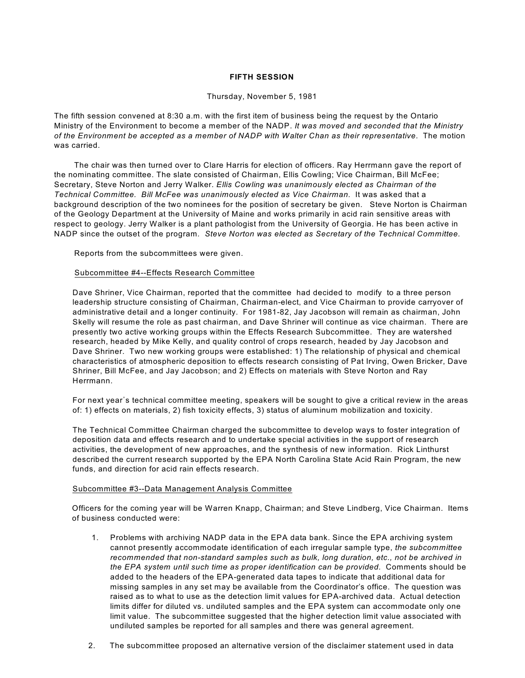# **FIFTH SESSION**

#### Thursday, November 5, 1981

The fifth session convened at 8:30 a.m. with the first item of business being the request by the Ontario Ministry of the Environment to become a member of the NADP. *It was moved and seconded that the Ministry of the Environment be accepted as a member of NADP with Walter Chan as their representative*. The motion was carried.

The chair was then turned over to Clare Harris for election of officers. Ray Herrmann gave the report of the nominating committee. The slate consisted of Chairman, Ellis Cowling; Vice Chairman, Bill McFee; Secretary, Steve Norton and Jerry Walker. *Ellis Cowling was unanimously elected as Chairman of the Technical Committee. Bill McFee was unanimously elected as Vice Chairman.* It was asked that a background description of the two nominees for the position of secretary be given. Steve Norton is Chairman of the Geology Department at the University of Maine and works primarily in acid rain sensitive areas with respect to geology. Jerry Walker is a plant pathologist from the University of Georgia. He has been active in NADP since the outset of the program*. Steve Norton was elected as Secretary of the Technical Committee.*

Reports from the subcommittees were given.

# Subcommittee #4--Effects Research Committee

Dave Shriner, Vice Chairman, reported that the committee had decided to modify to a three person leadership structure consisting of Chairman, Chairman-elect, and Vice Chairman to provide carryover of administrative detail and a longer continuity. For 1981-82, Jay Jacobson will remain as chairman, John Skelly will resume the role as past chairman, and Dave Shriner will continue as vice chairman. There are presently two active working groups within the Effects Research Subcommittee. They are watershed research, headed by Mike Kelly, and quality control of crops research, headed by Jay Jacobson and Dave Shriner. Two new working groups were established: 1) The relationship of physical and chemical characteristics of atmospheric deposition to effects research consisting of Pat Irving, Owen Bricker, Dave Shriner, Bill McFee, and Jay Jacobson; and 2) Effects on materials with Steve Norton and Ray Herrmann.

For next year's technical committee meeting, speakers will be sought to give a critical review in the areas of: 1) effects on materials, 2) fish toxicity effects, 3) status of aluminum mobilization and toxicity.

The Technical Committee Chairman charged the subcommittee to develop ways to foster integration of deposition data and effects research and to undertake special activities in the support of research activities, the development of new approaches, and the synthesis of new information. Rick Linthurst described the current research supported by the EPA North Carolina State Acid Rain Program, the new funds, and direction for acid rain effects research.

# Subcommittee #3--Data Management Analysis Committee

Officers for the coming year will be Warren Knapp, Chairman; and Steve Lindberg, Vice Chairman. Items of business conducted were:

- 1. Problems with archiving NADP data in the EPA data bank. Since the EPA archiving system cannot presently accommodate identification of each irregular sample type, *the subcommittee recommended that non-standard samples such as bulk, long duration, etc., not be archived in the EPA system until such time as proper identification can be provided.* Comments should be added to the headers of the EPA-generated data tapes to indicate that additional data for missing samples in any set may be available from the Coordinator's office. The question was raised as to what to use as the detection limit values for EPA-archived data. Actual detection limits differ for diluted vs. undiluted samples and the EPA system can accommodate only one limit value. The subcommittee suggested that the higher detection limit value associated with undiluted samples be reported for all samples and there was general agreement.
- 2. The subcommittee proposed an alternative version of the disclaimer statement used in data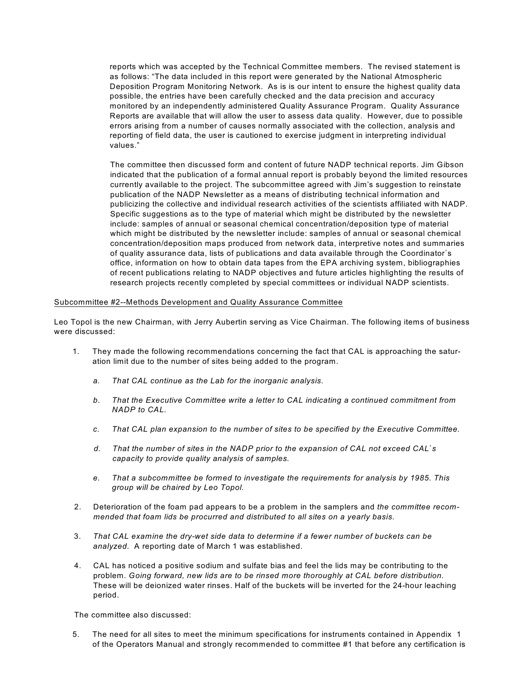reports which was accepted by the Technical Committee members. The revised statement is as follows: "The data included in this report were generated by the National Atmospheric Deposition Program Monitoring Network. As is is our intent to ensure the highest quality data possible, the entries have been carefully checked and the data precision and accuracy monitored by an independently administered Quality Assurance Program. Quality Assurance Reports are available that will allow the user to assess data quality. However, due to possible errors arising from a number of causes normally associated with the collection, analysis and reporting of field data, the user is cautioned to exercise judgment in interpreting individual values."

The committee then discussed form and content of future NADP technical reports. Jim Gibson indicated that the publication of a formal annual report is probably beyond the limited resources currently available to the project. The subcommittee agreed with Jim's suggestion to reinstate publication of the NADP Newsletter as a means of distributing technical information and publicizing the collective and individual research activities of the scientists affiliated with NADP. Specific suggestions as to the type of material which might be distributed by the newsletter include: samples of annual or seasonal chemical concentration/deposition type of material which might be distributed by the newsletter include: samples of annual or seasonal chemical concentration/deposition maps produced from network data, interpretive notes and summaries of quality assurance data, lists of publications and data available through the Coordinator's office, information on how to obtain data tapes from the EPA archiving system, bibliographies of recent publications relating to NADP objectives and future articles highlighting the results of research projects recently completed by special committees or individual NADP scientists.

# Subcommittee #2--Methods Development and Quality Assurance Committee

Leo Topol is the new Chairman, with Jerry Aubertin serving as Vice Chairman. The following items of business were discussed:

- 1. They made the following recommendations concerning the fact that CAL is approaching the saturation limit due to the number of sites being added to the program.
	- *a. That CAL continue as the Lab for the inorganic analysis.*
	- *b*. *That the Executive Committee write a letter to CAL indicating a continued commitment from NADP to CAL.*
	- *c. That CAL plan expansion to the number of sites to be specified by the Executive Committee.*
	- *d. That the number of sites in the NADP prior to the expansion of CAL not exceed CAL\*s capacity to provide quality analysis of samples.*
	- *e. That a subcommittee be formed to investigate the requirements for analysis by 1985. This group will be chaired by Leo Topol.*
- 2. Deterioration of the foam pad appears to be a problem in the samplers and *the committee recommended that foam lids be procurred and distributed to all sites on a yearly basis.*
- 3. *That CAL examine the dry-wet side data to determine if a fewer number of buckets can be analyzed.* A reporting date of March 1 was established.
- 4. CAL has noticed a positive sodium and sulfate bias and feel the lids may be contributing to the problem. *Going forward, new lids are to be rinsed more thoroughly at CAL before distribution.* These will be deionized water rinses. Half of the buckets will be inverted for the 24-hour leaching period.

The committee also discussed:

5. The need for all sites to meet the minimum specifications for instruments contained in Appendix 1 of the Operators Manual and strongly recommended to committee #1 that before any certification is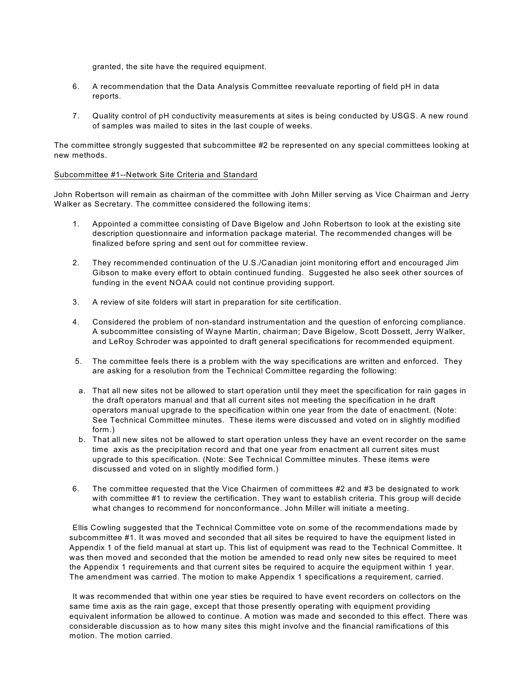granted, the site have the required equipment.

- 6. A recommendation that the Data Analysis Committee reevaluate reporting of field pH in data reports.
- 7. Quality control of pH conductivity measurements at sites is being conducted by USGS. A new round of samples was mailed to sites in the last couple of weeks.

The committee strongly suggested that subcommittee #2 be represented on any special committees looking at new methods.

# Subcommittee #1--Network Site Criteria and Standard

John Robertson will remain as chairman of the committee with John Miller serving as Vice Chairman and Jerry Walker as Secretary. The committee considered the following items:

- 1. Appointed a committee consisting of Dave Bigelow and John Robertson to look at the existing site description questionnaire and information package material. The recommended changes will be finalized before spring and sent out for committee review.
- 2. They recommended continuation of the U.S./Canadian joint monitoring effort and encouraged Jim Gibson to make every effort to obtain continued funding. Suggested he also seek other sources of funding in the event NOAA could not continue providing support.
- 3. A review of site folders will start in preparation for site certification.
- 4. Considered the problem of non-standard instrumentation and the question of enforcing compliance. A subcommittee consisting of Wayne Martin, chairman; Dave Bigelow, Scott Dossett, Jerry Walker, and LeRoy Schroder was appointed to draft general specifications for recommended equipment.
- 5. The committee feels there is a problem with the way specifications are written and enforced. They are asking for a resolution from the Technical Committee regarding the following:
- a. That all new sites not be allowed to start operation until they meet the specification for rain gages in the draft operators manual and that all current sites not meeting the specification in he draft operators manual upgrade to the specification within one year from the date of enactment. (Note: See Technical Committee minutes. These items were discussed and voted on in slightly modified form.)
- b. That all new sites not be allowed to start operation unless they have an event recorder on the same time axis as the precipitation record and that one year from enactment all current sites must upgrade to this specification. (Note: See Technical Committee minutes. These items were discussed and voted on in slightly modified form.)
- 6. The committee requested that the Vice Chairmen of committees #2 and #3 be designated to work with committee #1 to review the certification. They want to establish criteria. This group will decide what changes to recommend for nonconformance. John Miller will initiate a meeting.

Ellis Cowling suggested that the Technical Committee vote on some of the recommendations made by subcommittee #1. It was moved and seconded that all sites be required to have the equipment listed in Appendix 1 of the field manual at start up. This list of equipment was read to the Technical Committee. It was then moved and seconded that the motion be amended to read only new sites be required to meet the Appendix 1 requirements and that current sites be required to acquire the equipment within 1 year. The amendment was carried. The motion to make Appendix 1 specifications a requirement, carried.

It was recommended that within one year sties be required to have event recorders on collectors on the same time axis as the rain gage, except that those presently operating with equipment providing equivalent information be allowed to continue. A motion was made and seconded to this effect. There was considerable discussion as to how many sites this might involve and the financial ramifications of this motion. The motion carried.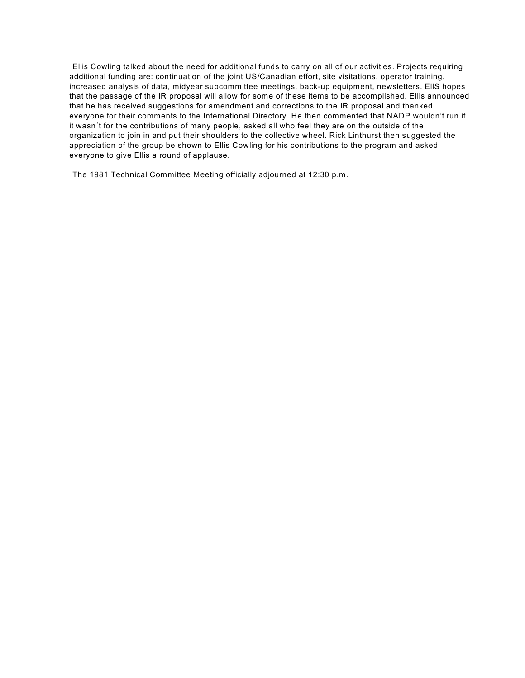Ellis Cowling talked about the need for additional funds to carry on all of our activities. Projects requiring additional funding are: continuation of the joint US/Canadian effort, site visitations, operator training, increased analysis of data, midyear subcommittee meetings, back-up equipment, newsletters. EllS hopes that the passage of the IR proposal will allow for some of these items to be accomplished. Ellis announced that he has received suggestions for amendment and corrections to the IR proposal and thanked everyone for their comments to the International Directory. He then commented that NADP wouldn't run if it wasn't for the contributions of many people, asked all who feel they are on the outside of the organization to join in and put their shoulders to the collective wheel. Rick Linthurst then suggested the appreciation of the group be shown to Ellis Cowling for his contributions to the program and asked everyone to give Ellis a round of applause.

The 1981 Technical Committee Meeting officially adjourned at 12:30 p.m.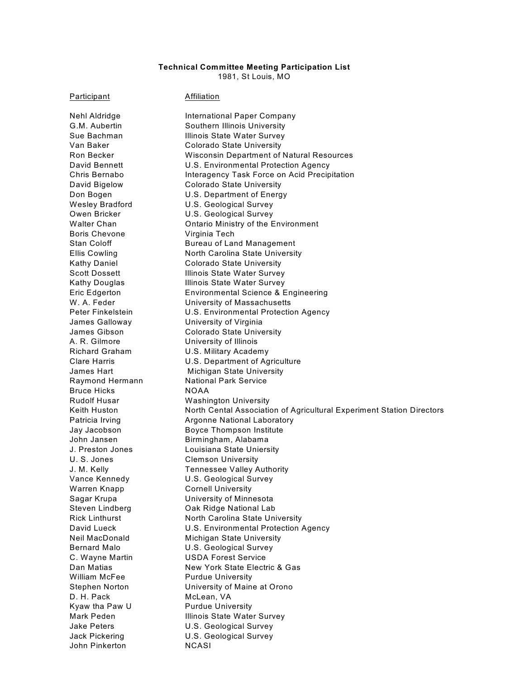# **Technical Committee Meeting Participation List**

1981, St Louis, MO

Participant **Affiliation** 

Nehl Aldridge **International Paper Company** Boris Chevone Virginia Tech James Galloway University of Virginia A. R. Gilmore University of Illinois Bruce Hicks NOAA U. S. Jones Clemson University Warren Knapp Cornell University William McFee Purdue University D. H. Pack McLean, VA Kyaw tha Paw U Purdue University John Pinkerton NCASI

G.M. Aubertin Southern Illinois University Sue Bachman **Illinois State Water Survey** Van Baker Colorado State University Ron Becker Wisconsin Department of Natural Resources David Bennett **U.S. Environmental Protection Agency** Chris Bernabo **Interagency Task Force on Acid Precipitation** David Bigelow Colorado State University Don Bogen U.S. Department of Energy Wesley Bradford **U.S. Geological Survey** Owen Bricker **U.S. Geological Survey** Walter Chan **Chan** Ontario Ministry of the Environment Stan Coloff **Bureau of Land Management** Ellis Cowling North Carolina State University Kathy Daniel **Colorado State University** Scott Dossett **Illinois State Water Survey** Kathy Douglas **Illinois State Water Survey** Eric Edgerton Environmental Science & Engineering University of Massachusetts Peter Finkelstein **U.S. Environmental Protection Agency** James Gibson Colorado State University Richard Graham U.S. Military Academy Clare Harris U.S. Department of Agriculture James Hart **Michigan State University** Raymond Hermann National Park Service Rudolf Husar Washington University Keith Huston North Cental Association of Agricultural Experiment Station Directors Patricia Irving **Argonne National Laboratory** Jay Jacobson Boyce Thompson Institute John Jansen Birmingham, Alabama J. Preston Jones Louisiana State Uniersity J. M. Kelly Tennessee Valley Authority Vance Kennedy U.S. Geological Survey Sagar Krupa University of Minnesota Steven Lindberg **Oak Ridge National Lab** Rick Linthurst North Carolina State University David Lueck **U.S. Environmental Protection Agency** Neil MacDonald Michigan State University Bernard Malo U.S. Geological Survey C. Wayne Martin USDA Forest Service Dan Matias New York State Electric & Gas Stephen Norton University of Maine at Orono Mark Peden **Illinois State Water Survey** Jake Peters U.S. Geological Survey Jack Pickering U.S. Geological Survey